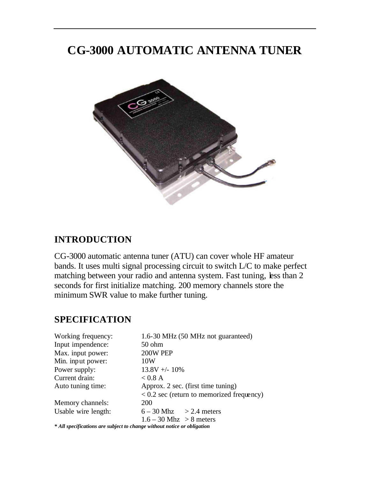# **CG-3000 AUTOMATIC ANTENNA TUNER**



# **INTRODUCTION**

CG-3000 automatic antenna tuner (ATU) can cover whole HF amateur bands. It uses multi signal processing circuit to switch L/C to make perfect matching between your radio and antenna system. Fast tuning, less than 2 seconds for first initialize matching. 200 memory channels store the minimum SWR value to make further tuning.

# **SPECIFICATION**

| Working frequency:  | 1.6-30 MHz (50 MHz not guaranteed)                                      |
|---------------------|-------------------------------------------------------------------------|
| Input impendence:   | 50 ohm                                                                  |
| Max. input power:   | 200W PEP                                                                |
| Min. input power:   | 10W                                                                     |
| Power supply:       | $13.8V + - 10\%$                                                        |
| Current drain:      | $< 0.8$ A                                                               |
| Auto tuning time:   | Approx. 2 sec. (first time tuning)                                      |
|                     | $< 0.2$ sec (return to memorized frequency)                             |
| Memory channels:    | 200                                                                     |
| Usable wire length: | $6 - 30$ Mhz $> 2.4$ meters                                             |
|                     | $1.6 - 30$ Mhz $> 8$ meters                                             |
|                     | * All specifications are subject to change without notice or obligation |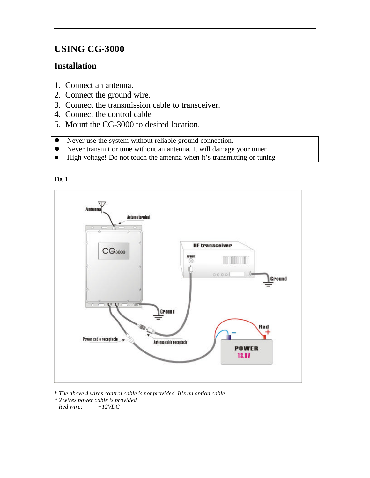# **USING CG-3000**

### **Installation**

- 1. Connect an antenna.
- 2. Connect the ground wire.
- 3. Connect the transmission cable to transceiver.
- 4. Connect the control cable
- 5. Mount the CG-3000 to desired location.
- Never use the system without reliable ground connection.
- l Never transmit or tune without an antenna. It will damage your tuner
- High voltage! Do not touch the antenna when it's transmitting or tuning





\* *The above 4 wires control cable is not provided. It's an option cable.*

*\* 2 wires power cable is provided Red wire: +12VDC*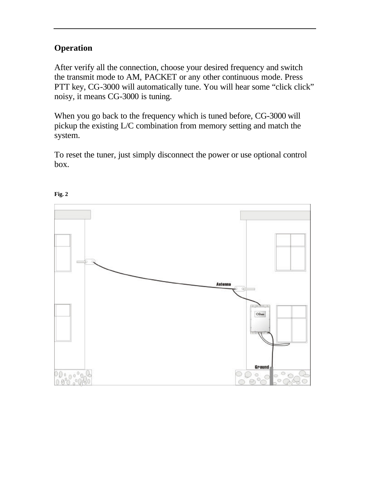## **Operation**

After verify all the connection, choose your desired frequency and switch the transmit mode to AM, PACKET or any other continuous mode. Press PTT key, CG-3000 will automatically tune. You will hear some "click click" noisy, it means CG-3000 is tuning.

When you go back to the frequency which is tuned before, CG-3000 will pickup the existing L/C combination from memory setting and match the system.

To reset the tuner, just simply disconnect the power or use optional control box.



#### **Fig. 2**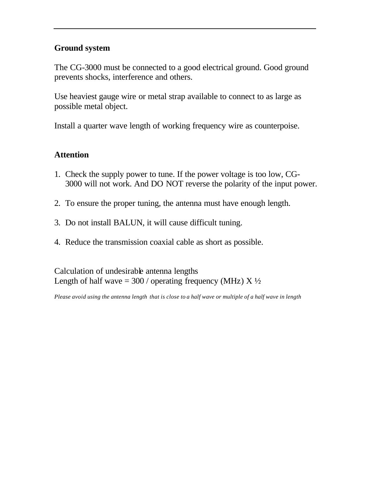### **Ground system**

The CG-3000 must be connected to a good electrical ground. Good ground prevents shocks, interference and others.

Use heaviest gauge wire or metal strap available to connect to as large as possible metal object.

Install a quarter wave length of working frequency wire as counterpoise.

### **Attention**

- 1. Check the supply power to tune. If the power voltage is too low, CG-3000 will not work. And DO NOT reverse the polarity of the input power.
- 2. To ensure the proper tuning, the antenna must have enough length.
- 3. Do not install BALUN, it will cause difficult tuning.
- 4. Reduce the transmission coaxial cable as short as possible.

Calculation of undesirable antenna lengths Length of half wave =  $300$  / operating frequency (MHz) X  $\frac{1}{2}$ 

*Please avoid using the antenna length that is close to a half wave or multiple of a half wave in length*